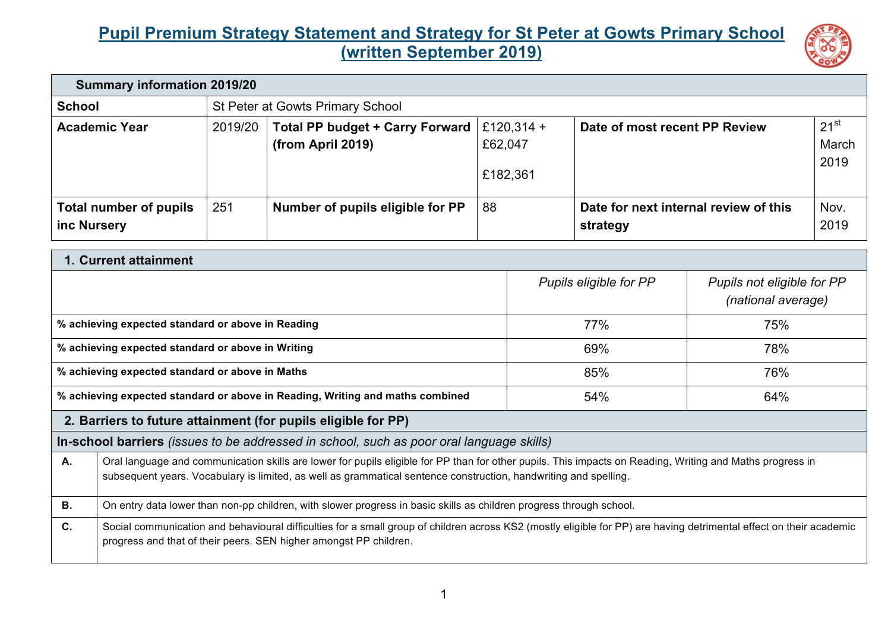## **Pupil Premium Strategy Statement and Strategy for St Peter at Gowts Primary School (written September 2019)**



| <b>Summary information 2019/20</b>    |                                  |                                                        |                                   |                                                   |                            |
|---------------------------------------|----------------------------------|--------------------------------------------------------|-----------------------------------|---------------------------------------------------|----------------------------|
| <b>School</b>                         | St Peter at Gowts Primary School |                                                        |                                   |                                                   |                            |
| <b>Academic Year</b>                  | 2019/20                          | Total PP budget + Carry Forward  <br>(from April 2019) | £120,314 +<br>£62,047<br>£182,361 | Date of most recent PP Review                     | $21^{st}$<br>March<br>2019 |
| Total number of pupils<br>inc Nursery | 251                              | Number of pupils eligible for PP                       | 88                                | Date for next internal review of this<br>strategy | Nov.<br>2019               |

| 1. Current attainment                                                                           |                                                                                                                                                                                                                                                                               |                        |                                                  |  |  |
|-------------------------------------------------------------------------------------------------|-------------------------------------------------------------------------------------------------------------------------------------------------------------------------------------------------------------------------------------------------------------------------------|------------------------|--------------------------------------------------|--|--|
|                                                                                                 |                                                                                                                                                                                                                                                                               | Pupils eligible for PP | Pupils not eligible for PP<br>(national average) |  |  |
| % achieving expected standard or above in Reading                                               |                                                                                                                                                                                                                                                                               | 77%                    | 75%                                              |  |  |
| % achieving expected standard or above in Writing                                               |                                                                                                                                                                                                                                                                               | 69%                    | 78%                                              |  |  |
| % achieving expected standard or above in Maths                                                 |                                                                                                                                                                                                                                                                               | 85%                    | 76%                                              |  |  |
|                                                                                                 | % achieving expected standard or above in Reading, Writing and maths combined                                                                                                                                                                                                 | 54%                    | 64%                                              |  |  |
| 2. Barriers to future attainment (for pupils eligible for PP)                                   |                                                                                                                                                                                                                                                                               |                        |                                                  |  |  |
| <b>In-school barriers</b> (issues to be addressed in school, such as poor oral language skills) |                                                                                                                                                                                                                                                                               |                        |                                                  |  |  |
| А.                                                                                              | Oral language and communication skills are lower for pupils eligible for PP than for other pupils. This impacts on Reading, Writing and Maths progress in<br>subsequent years. Vocabulary is limited, as well as grammatical sentence construction, handwriting and spelling. |                        |                                                  |  |  |
| <b>B.</b>                                                                                       | On entry data lower than non-pp children, with slower progress in basic skills as children progress through school.                                                                                                                                                           |                        |                                                  |  |  |
| C.                                                                                              | Social communication and behavioural difficulties for a small group of children across KS2 (mostly eligible for PP) are having detrimental effect on their academic<br>progress and that of their peers. SEN higher amongst PP children.                                      |                        |                                                  |  |  |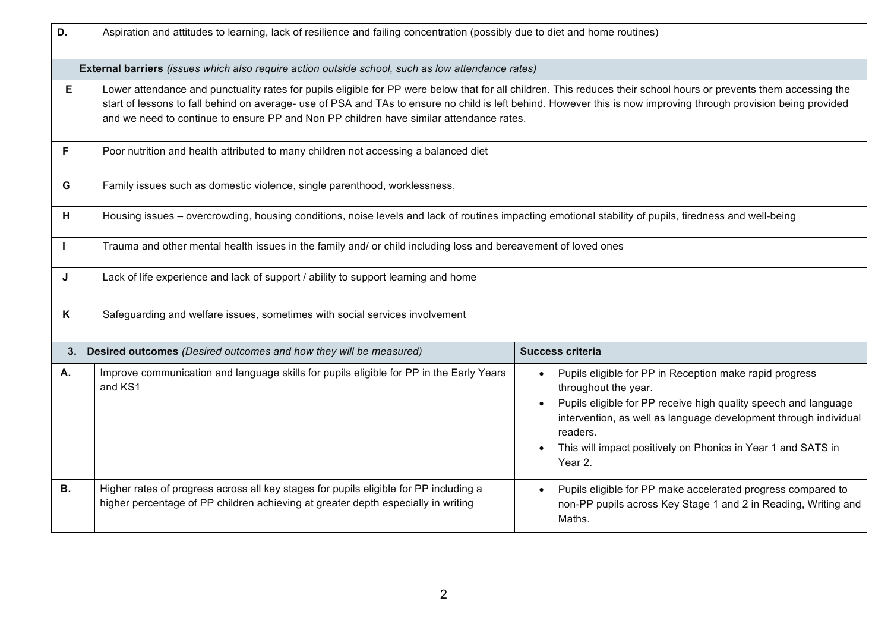| D.        | Aspiration and attitudes to learning, lack of resilience and failing concentration (possibly due to diet and home routines)                                                                                                                                                                                                                                                                                                       |                                                                                                                                                                                                                                                                                                               |  |  |
|-----------|-----------------------------------------------------------------------------------------------------------------------------------------------------------------------------------------------------------------------------------------------------------------------------------------------------------------------------------------------------------------------------------------------------------------------------------|---------------------------------------------------------------------------------------------------------------------------------------------------------------------------------------------------------------------------------------------------------------------------------------------------------------|--|--|
|           | External barriers (issues which also require action outside school, such as low attendance rates)                                                                                                                                                                                                                                                                                                                                 |                                                                                                                                                                                                                                                                                                               |  |  |
| E         | Lower attendance and punctuality rates for pupils eligible for PP were below that for all children. This reduces their school hours or prevents them accessing the<br>start of lessons to fall behind on average- use of PSA and TAs to ensure no child is left behind. However this is now improving through provision being provided<br>and we need to continue to ensure PP and Non PP children have similar attendance rates. |                                                                                                                                                                                                                                                                                                               |  |  |
| F.        | Poor nutrition and health attributed to many children not accessing a balanced diet                                                                                                                                                                                                                                                                                                                                               |                                                                                                                                                                                                                                                                                                               |  |  |
| G         | Family issues such as domestic violence, single parenthood, worklessness,                                                                                                                                                                                                                                                                                                                                                         |                                                                                                                                                                                                                                                                                                               |  |  |
| н         | Housing issues – overcrowding, housing conditions, noise levels and lack of routines impacting emotional stability of pupils, tiredness and well-being                                                                                                                                                                                                                                                                            |                                                                                                                                                                                                                                                                                                               |  |  |
|           | Trauma and other mental health issues in the family and/ or child including loss and bereavement of loved ones                                                                                                                                                                                                                                                                                                                    |                                                                                                                                                                                                                                                                                                               |  |  |
| J         | Lack of life experience and lack of support / ability to support learning and home                                                                                                                                                                                                                                                                                                                                                |                                                                                                                                                                                                                                                                                                               |  |  |
| K         | Safeguarding and welfare issues, sometimes with social services involvement                                                                                                                                                                                                                                                                                                                                                       |                                                                                                                                                                                                                                                                                                               |  |  |
|           | 3. Desired outcomes (Desired outcomes and how they will be measured)                                                                                                                                                                                                                                                                                                                                                              | Success criteria                                                                                                                                                                                                                                                                                              |  |  |
| <b>A.</b> | Improve communication and language skills for pupils eligible for PP in the Early Years<br>and KS1                                                                                                                                                                                                                                                                                                                                | Pupils eligible for PP in Reception make rapid progress<br>throughout the year.<br>Pupils eligible for PP receive high quality speech and language<br>intervention, as well as language development through individual<br>readers.<br>This will impact positively on Phonics in Year 1 and SATS in<br>Year 2. |  |  |
| <b>B.</b> | Higher rates of progress across all key stages for pupils eligible for PP including a<br>higher percentage of PP children achieving at greater depth especially in writing                                                                                                                                                                                                                                                        | Pupils eligible for PP make accelerated progress compared to<br>non-PP pupils across Key Stage 1 and 2 in Reading, Writing and<br>Maths.                                                                                                                                                                      |  |  |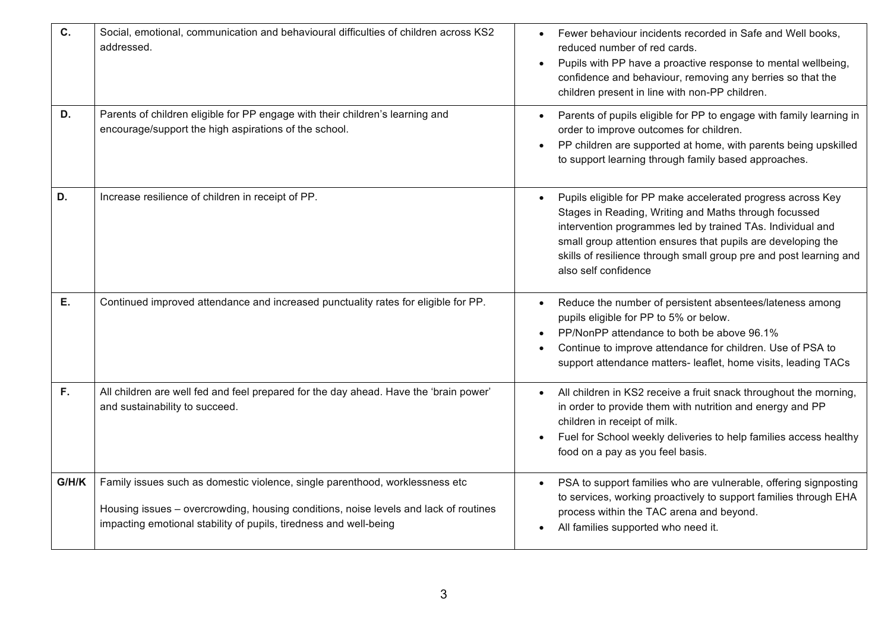| C.    | Social, emotional, communication and behavioural difficulties of children across KS2<br>addressed.                                                                                                                                        | Fewer behaviour incidents recorded in Safe and Well books,<br>reduced number of red cards.<br>Pupils with PP have a proactive response to mental wellbeing,<br>confidence and behaviour, removing any berries so that the<br>children present in line with non-PP children.                                                                      |
|-------|-------------------------------------------------------------------------------------------------------------------------------------------------------------------------------------------------------------------------------------------|--------------------------------------------------------------------------------------------------------------------------------------------------------------------------------------------------------------------------------------------------------------------------------------------------------------------------------------------------|
| D.    | Parents of children eligible for PP engage with their children's learning and<br>encourage/support the high aspirations of the school.                                                                                                    | Parents of pupils eligible for PP to engage with family learning in<br>order to improve outcomes for children.<br>PP children are supported at home, with parents being upskilled<br>to support learning through family based approaches.                                                                                                        |
| D.    | Increase resilience of children in receipt of PP.                                                                                                                                                                                         | Pupils eligible for PP make accelerated progress across Key<br>Stages in Reading, Writing and Maths through focussed<br>intervention programmes led by trained TAs. Individual and<br>small group attention ensures that pupils are developing the<br>skills of resilience through small group pre and post learning and<br>also self confidence |
| Ε.    | Continued improved attendance and increased punctuality rates for eligible for PP.                                                                                                                                                        | Reduce the number of persistent absentees/lateness among<br>pupils eligible for PP to 5% or below.<br>PP/NonPP attendance to both be above 96.1%<br>Continue to improve attendance for children. Use of PSA to<br>support attendance matters- leaflet, home visits, leading TACs                                                                 |
| F.    | All children are well fed and feel prepared for the day ahead. Have the 'brain power'<br>and sustainability to succeed.                                                                                                                   | All children in KS2 receive a fruit snack throughout the morning,<br>in order to provide them with nutrition and energy and PP<br>children in receipt of milk.<br>Fuel for School weekly deliveries to help families access healthy<br>food on a pay as you feel basis.                                                                          |
| G/H/K | Family issues such as domestic violence, single parenthood, worklessness etc<br>Housing issues - overcrowding, housing conditions, noise levels and lack of routines<br>impacting emotional stability of pupils, tiredness and well-being | PSA to support families who are vulnerable, offering signposting<br>to services, working proactively to support families through EHA<br>process within the TAC arena and beyond.<br>All families supported who need it.                                                                                                                          |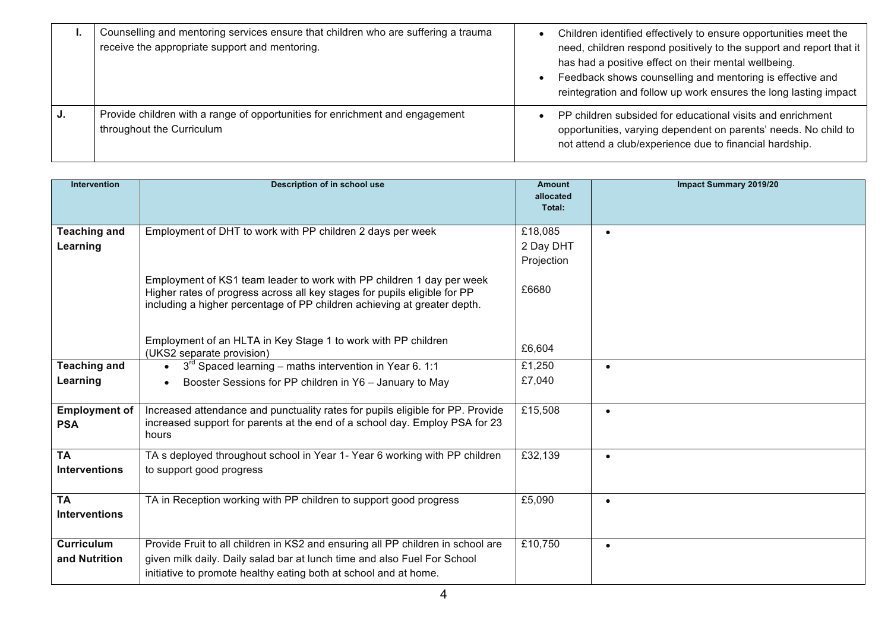| <br>Counselling and mentoring services ensure that children who are suffering a trauma<br>receive the appropriate support and mentoring. | Children identified effectively to ensure opportunities meet the<br>need, children respond positively to the support and report that it<br>has had a positive effect on their mental wellbeing.<br>Feedback shows counselling and mentoring is effective and<br>reintegration and follow up work ensures the long lasting impact |
|------------------------------------------------------------------------------------------------------------------------------------------|----------------------------------------------------------------------------------------------------------------------------------------------------------------------------------------------------------------------------------------------------------------------------------------------------------------------------------|
| Provide children with a range of opportunities for enrichment and engagement<br>throughout the Curriculum                                | PP children subsided for educational visits and enrichment<br>opportunities, varying dependent on parents' needs. No child to<br>not attend a club/experience due to financial hardship.                                                                                                                                         |

| <b>Intervention</b>                | <b>Description of in school use</b>                                                                                                                                                                                            | <b>Amount</b><br>allocated | <b>Impact Summary 2019/20</b> |
|------------------------------------|--------------------------------------------------------------------------------------------------------------------------------------------------------------------------------------------------------------------------------|----------------------------|-------------------------------|
|                                    |                                                                                                                                                                                                                                | Total:                     |                               |
| <b>Teaching and</b>                | Employment of DHT to work with PP children 2 days per week                                                                                                                                                                     | £18,085                    |                               |
| Learning                           |                                                                                                                                                                                                                                | 2 Day DHT                  |                               |
|                                    |                                                                                                                                                                                                                                | Projection                 |                               |
|                                    | Employment of KS1 team leader to work with PP children 1 day per week<br>Higher rates of progress across all key stages for pupils eligible for PP<br>including a higher percentage of PP children achieving at greater depth. | £6680                      |                               |
|                                    | Employment of an HLTA in Key Stage 1 to work with PP children<br>(UKS2 separate provision)                                                                                                                                     | £6,604                     |                               |
| <b>Teaching and</b>                | $3rd$ Spaced learning – maths intervention in Year 6. 1:1                                                                                                                                                                      | £1,250                     | $\bullet$                     |
| Learning                           | Booster Sessions for PP children in Y6 - January to May                                                                                                                                                                        | £7,040                     |                               |
| <b>Employment of</b><br><b>PSA</b> | Increased attendance and punctuality rates for pupils eligible for PP. Provide<br>increased support for parents at the end of a school day. Employ PSA for 23<br>hours                                                         | £15,508                    | $\bullet$                     |
| <b>TA</b>                          | TA s deployed throughout school in Year 1- Year 6 working with PP children                                                                                                                                                     | £32,139                    | $\bullet$                     |
| <b>Interventions</b>               | to support good progress                                                                                                                                                                                                       |                            |                               |
| <b>TA</b>                          | TA in Reception working with PP children to support good progress                                                                                                                                                              | £5,090                     | $\bullet$                     |
| <b>Interventions</b>               |                                                                                                                                                                                                                                |                            |                               |
| <b>Curriculum</b>                  | Provide Fruit to all children in KS2 and ensuring all PP children in school are                                                                                                                                                | £10,750                    | $\bullet$                     |
| and Nutrition                      | given milk daily. Daily salad bar at lunch time and also Fuel For School                                                                                                                                                       |                            |                               |
|                                    | initiative to promote healthy eating both at school and at home.                                                                                                                                                               |                            |                               |